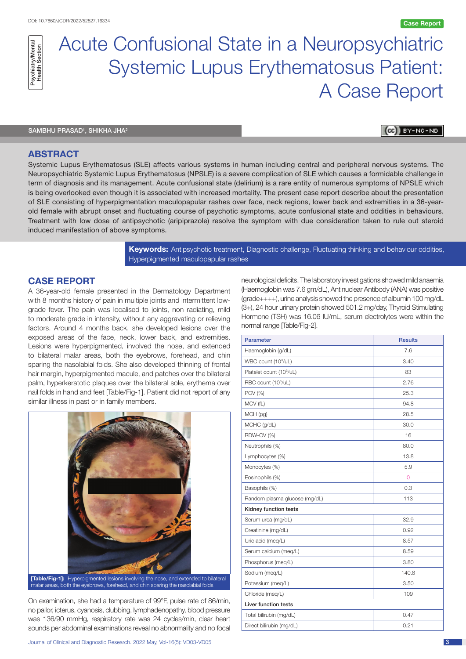

# Acute Confusional State in a Neuropsychiatric Systemic Lupus Erythematosus Patient: A Case Report

SAMBHU PRASAD<sup>1</sup>, SHIKHA JHA<sup>2</sup>

BY-NC-ND [cc]

## **ABSTRACT**

Systemic Lupus Erythematosus (SLE) affects various systems in human including central and peripheral nervous systems. The Neuropsychiatric Systemic Lupus Erythematosus (NPSLE) is a severe complication of SLE which causes a formidable challenge in term of diagnosis and its management. Acute confusional state (delirium) is a rare entity of numerous symptoms of NPSLE which is being overlooked even though it is associated with increased mortality. The present case report describe about the presentation of SLE consisting of hyperpigmentation maculopapular rashes over face, neck regions, lower back and extremities in a 36-yearold female with abrupt onset and fluctuating course of psychotic symptoms, acute confusional state and oddities in behaviours. Treatment with low dose of antipsychotic (aripiprazole) resolve the symptom with due consideration taken to rule out steroid induced manifestation of above symptoms.

> **Keywords:** Antipsychotic treatment, Diagnostic challenge, Fluctuating thinking and behaviour oddities, Hyperpigmented maculopapular rashes

# **CASE REPORT**

A 36-year-old female presented in the Dermatology Department with 8 months history of pain in multiple joints and intermittent lowgrade fever. The pain was localised to joints, non radiating, mild to moderate grade in intensity, without any aggravating or relieving factors. Around 4 months back, she developed lesions over the exposed areas of the face, neck, lower back, and extremities. Lesions were hyperpigmented, involved the nose, and extended to bilateral malar areas, both the eyebrows, forehead, and chin sparing the nasolabial folds. She also developed thinning of frontal hair margin, hyperpigmented macule, and patches over the bilateral palm, hyperkeratotic plaques over the bilateral sole, erythema over nail folds in hand and feet [Table/Fig-1]. Patient did not report of any similar illness in past or in family members.



**[Table/Fig-1]:** Hyperpigmented lesions involving the nose, and extended to bilateral malar areas, both the eyebrows, forehead, and chin sparing the nasolabial folds

On examination, she had a temperature of 99°F, pulse rate of 86/min, no pallor, icterus, cyanosis, clubbing, lymphadenopathy, blood pressure was 136/90 mmHg, respiratory rate was 24 cycles/min, clear heart sounds per abdominal examinations reveal no abnormality and no focal

neurological deficits. The laboratory investigations showed mild anaemia (Haemoglobin was 7.6 gm/dL), Antinuclear Antibody (ANA) was positive (grade++++), urine analysis showed the presence of albumin 100 mg/dL (3+), 24 hour urinary protein showed 501.2 mg/day, Thyroid Stimulating Hormone (TSH) was 16.06 IU/mL, serum electrolytes were within the normal range [Table/Fig-2].

| <b>Parameter</b>                     | <b>Results</b> |
|--------------------------------------|----------------|
| Haemoglobin (g/dL)                   | 7.6            |
| WBC count (10 <sup>3</sup> /uL)      | 3.40           |
| Platelet count (10 <sup>3</sup> /uL) | 83             |
| RBC count (10 <sup>6</sup> /uL)      | 2.76           |
| PCV (%)                              | 25.3           |
| MCV (fL)                             | 94.8           |
| MCH (pg)                             | 28.5           |
| MCHC (g/dL)                          | 30.0           |
| RDW-CV (%)                           | 16             |
| Neutrophils (%)                      | 80.0           |
| Lymphocytes (%)                      | 13.8           |
| Monocytes (%)                        | 5.9            |
| Eosinophils (%)                      | $\overline{0}$ |
| Basophils (%)                        | 0.3            |
| Random plasma glucose (mg/dL)        | 113            |
| Kidney function tests                |                |
| Serum urea (mg/dL)                   | 32.9           |
| Creatinine (mg/dL)                   | 0.92           |
| Uric acid (meq/L)                    | 8.57           |
| Serum calcium (meg/L)                | 8.59           |
| Phosphorus (meq/L)                   | 3.80           |
| Sodium (meg/L)                       | 140.8          |
| Potassium (meg/L)                    | 3.50           |
| Chloride (meg/L)                     | 109            |
| Liver function tests                 |                |
| Total bilirubin (mg/dL)              | 0.47           |
| Direct bilirubin (mg/dL)             | 0.21           |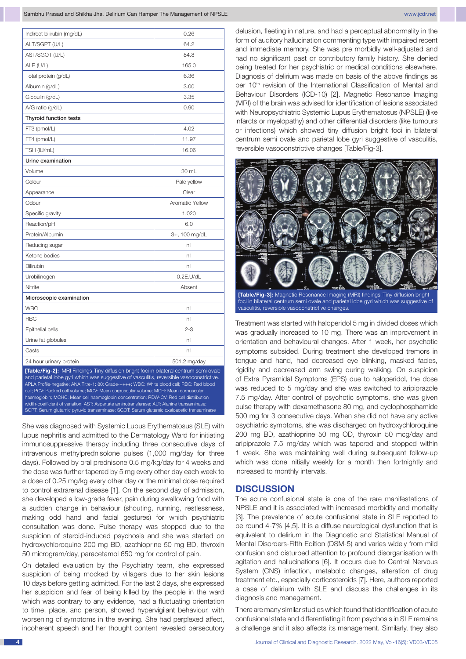| Indirect bilirubin (mg/dL)                                                                                                                                                                                                                                                                                                                                                                                                                                                                                                                                   | 0.26            |  |
|--------------------------------------------------------------------------------------------------------------------------------------------------------------------------------------------------------------------------------------------------------------------------------------------------------------------------------------------------------------------------------------------------------------------------------------------------------------------------------------------------------------------------------------------------------------|-----------------|--|
| ALT/SGPT (U/L)                                                                                                                                                                                                                                                                                                                                                                                                                                                                                                                                               | 64.2            |  |
| AST/SGOT (U/L)                                                                                                                                                                                                                                                                                                                                                                                                                                                                                                                                               | 84.8            |  |
| ALP (U/L)                                                                                                                                                                                                                                                                                                                                                                                                                                                                                                                                                    | 165.0           |  |
| Total protein (g/dL)                                                                                                                                                                                                                                                                                                                                                                                                                                                                                                                                         | 6.36            |  |
| Albumin (g/dL)                                                                                                                                                                                                                                                                                                                                                                                                                                                                                                                                               | 3.00            |  |
| Globulin (g/dL)                                                                                                                                                                                                                                                                                                                                                                                                                                                                                                                                              | 3.35            |  |
| A/G ratio (g/dL)                                                                                                                                                                                                                                                                                                                                                                                                                                                                                                                                             | 0.90            |  |
| <b>Thyroid function tests</b>                                                                                                                                                                                                                                                                                                                                                                                                                                                                                                                                |                 |  |
| FT3 (pmol/L)                                                                                                                                                                                                                                                                                                                                                                                                                                                                                                                                                 | 4.02            |  |
| FT4 (pmol/L)                                                                                                                                                                                                                                                                                                                                                                                                                                                                                                                                                 | 11.97           |  |
| TSH (IU/mL)                                                                                                                                                                                                                                                                                                                                                                                                                                                                                                                                                  | 16.06           |  |
| Urine examination                                                                                                                                                                                                                                                                                                                                                                                                                                                                                                                                            |                 |  |
| Volume                                                                                                                                                                                                                                                                                                                                                                                                                                                                                                                                                       | 30 mL           |  |
| Colour                                                                                                                                                                                                                                                                                                                                                                                                                                                                                                                                                       | Pale yellow     |  |
| Appearance                                                                                                                                                                                                                                                                                                                                                                                                                                                                                                                                                   | Clear           |  |
| Odour                                                                                                                                                                                                                                                                                                                                                                                                                                                                                                                                                        | Aromatic Yellow |  |
| Specific gravity                                                                                                                                                                                                                                                                                                                                                                                                                                                                                                                                             | 1.020           |  |
| Reaction/pH                                                                                                                                                                                                                                                                                                                                                                                                                                                                                                                                                  | 6.0             |  |
| Protein/Albumin                                                                                                                                                                                                                                                                                                                                                                                                                                                                                                                                              | 3+, 100 mg/dL   |  |
| Reducing sugar                                                                                                                                                                                                                                                                                                                                                                                                                                                                                                                                               | nil             |  |
| Ketone bodies                                                                                                                                                                                                                                                                                                                                                                                                                                                                                                                                                | nil             |  |
| <b>Bilirubin</b>                                                                                                                                                                                                                                                                                                                                                                                                                                                                                                                                             | nil             |  |
| Urobilinogen                                                                                                                                                                                                                                                                                                                                                                                                                                                                                                                                                 | $0.2E$ .U/dL    |  |
| Nitrite                                                                                                                                                                                                                                                                                                                                                                                                                                                                                                                                                      | Absent          |  |
| Microscopic examination                                                                                                                                                                                                                                                                                                                                                                                                                                                                                                                                      |                 |  |
| <b>WBC</b>                                                                                                                                                                                                                                                                                                                                                                                                                                                                                                                                                   | nil             |  |
| <b>RBC</b>                                                                                                                                                                                                                                                                                                                                                                                                                                                                                                                                                   | nil             |  |
| Epithelial cells                                                                                                                                                                                                                                                                                                                                                                                                                                                                                                                                             | $2 - 3$         |  |
| Urine fat globules                                                                                                                                                                                                                                                                                                                                                                                                                                                                                                                                           | nil             |  |
| Casts                                                                                                                                                                                                                                                                                                                                                                                                                                                                                                                                                        | nil             |  |
| 24 hour urinary protein                                                                                                                                                                                                                                                                                                                                                                                                                                                                                                                                      | 501.2 mg/day    |  |
| [Table/Fig-2]: MRI Findings-Tiny diffusion bright foci in bilateral centrum semi ovale<br>and parietal lobe gyri which was suggestive of vasculitis, reversible vasoconstrictive.<br>APLA Profile-negative; ANA Titre-1: 80; Grade-++++; WBC: White blood cell; RBC: Red blood<br>cell; PCV: Packed cell volume; MCV: Mean corpuscular volume; MCH: Mean corpuscular<br>haemoglobin; MCHC: Mean cell haemoglobin concentration; RDW-CV: Red cell distribution<br>width-coefficient of variation; AST: Aspartate aminotransferase; ALT: Alanine transaminase; |                 |  |

She was diagnosed with Systemic Lupus Erythematosus (SLE) with lupus nephritis and admitted to the Dermatology Ward for initiating immunosuppressive therapy including three consecutive days of intravenous methylprednisolone pulses (1,000 mg/day for three days). Followed by oral prednisone 0.5 mg/kg/day for 4 weeks and the dose was further tapered by 5 mg every other day each week to a dose of 0.25 mg/kg every other day or the minimal dose required to control extrarenal disease [1]. On the second day of admission, she developed a low-grade fever, pain during swallowing food with a sudden change in behaviour (shouting, running, restlessness, making odd hand and facial gestures) for which psychiatric consultation was done. Pulse therapy was stopped due to the suspicion of steroid-induced psychosis and she was started on hydroxychloroquine 200 mg BD, azathioprine 50 mg BD, thyroxin 50 microgram/day, paracetamol 650 mg for control of pain.

SGPT: Serum glutamic pyruvic transaminase; SGOT: Serum glutamic oxaloacetic transaminase

On detailed evaluation by the Psychiatry team, she expressed suspicion of being mocked by villagers due to her skin lesions 10 days before getting admitted. For the last 2 days, she expressed her suspicion and fear of being killed by the people in the ward which was contrary to any evidence, had a fluctuating orientation to time, place, and person, showed hypervigilant behaviour, with worsening of symptoms in the evening. She had perplexed affect, incoherent speech and her thought content revealed persecutory

delusion, fleeting in nature, and had a perceptual abnormality in the form of auditory hallucination commenting type with impaired recent and immediate memory. She was pre morbidly well-adjusted and had no significant past or contributory family history. She denied being treated for her psychiatric or medical conditions elsewhere. Diagnosis of delirium was made on basis of the above findings as per 10<sup>th</sup> revision of the International Classification of Mental and Behaviour Disorders (ICD-10) [2]. Magnetic Resonance Imaging (MRI) of the brain was advised for identification of lesions associated with Neuropsychiatric Systemic Lupus Erythematosus (NPSLE) (like infarcts or myelopathy) and other differential disorders (like tumours or infections) which showed tiny diffusion bright foci in bilateral centrum semi ovale and parietal lobe gyri suggestive of vasculitis, reversible vasoconstrictive changes [Table/Fig-3].



**[Table/Fig-3]:** Magnetic Resonance Imaging (MRI) findings-Tiny diffusion bright foci in bilateral centrum semi ovale and parietal lobe gyri which was suggestive of vasculitis, reversible vasoconstrictive changes.

Treatment was started with haloperidol 5 mg in divided doses which was gradually increased to 10 mg. There was an improvement in orientation and behavioural changes. After 1 week, her psychotic symptoms subsided. During treatment she developed tremors in tongue and hand, had decreased eye blinking, masked facies, rigidity and decreased arm swing during walking. On suspicion of Extra Pyramidal Symptoms (EPS) due to haloperidol, the dose was reduced to 5 mg/day and she was switched to aripiprazole 7.5 mg/day. After control of psychotic symptoms, she was given pulse therapy with dexamethasone 80 mg, and cyclophosphamide 500 mg for 3 consecutive days. When she did not have any active psychiatric symptoms, she was discharged on hydroxychloroquine 200 mg BD, azathioprine 50 mg OD, thyroxin 50 mcg/day and aripiprazole 7.5 mg/day which was tapered and stopped within 1 week. She was maintaining well during subsequent follow-up which was done initially weekly for a month then fortnightly and increased to monthly intervals.

### **DISCUSSION**

The acute confusional state is one of the rare manifestations of NPSLE and it is associated with increased morbidity and mortality [3]. The prevalence of acute confusional state in SLE reported to be round 4-7% [4,5]. It is a diffuse neurological dysfunction that is equivalent to delirium in the Diagnostic and Statistical Manual of Mental Disorders-Fifth Edition (DSM-5) and varies widely from mild confusion and disturbed attention to profound disorganisation with agitation and hallucinations [6]. It occurs due to Central Nervous System (CNS) infection, metabolic changes, alteration of drug treatment etc., especially corticosteroids [7]. Here, authors reported a case of delirium with SLE and discuss the challenges in its diagnosis and management.

There are many similar studies which found that identification of acute confusional state and differentiating it from psychosis in SLE remains a challenge and it also affects its management. Similarly, they also